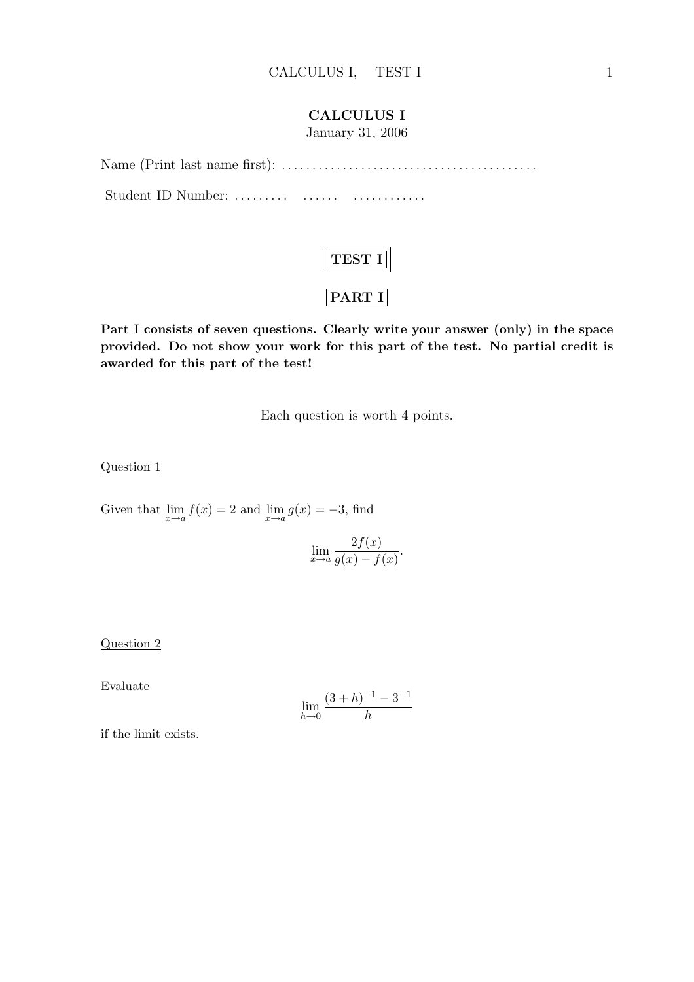### CALCULUS I

January 31, 2006

Name (Print last name first): . . . . . . . . . . . . . . . . . . . . . . . . . . . . . . . . . . . . . . . . . . Student ID Number: ......... ....... ...............



Part I consists of seven questions. Clearly write your answer (only) in the space provided. Do not show your work for this part of the test. No partial credit is awarded for this part of the test!

Each question is worth 4 points.

Question 1

Given that  $\lim_{x \to a} f(x) = 2$  and  $\lim_{x \to a} g(x) = -3$ , find

$$
\lim_{x \to a} \frac{2f(x)}{g(x) - f(x)}.
$$

### Question 2

Evaluate

$$
\lim_{h \to 0} \frac{(3+h)^{-1} - 3^{-1}}{h}
$$

if the limit exists.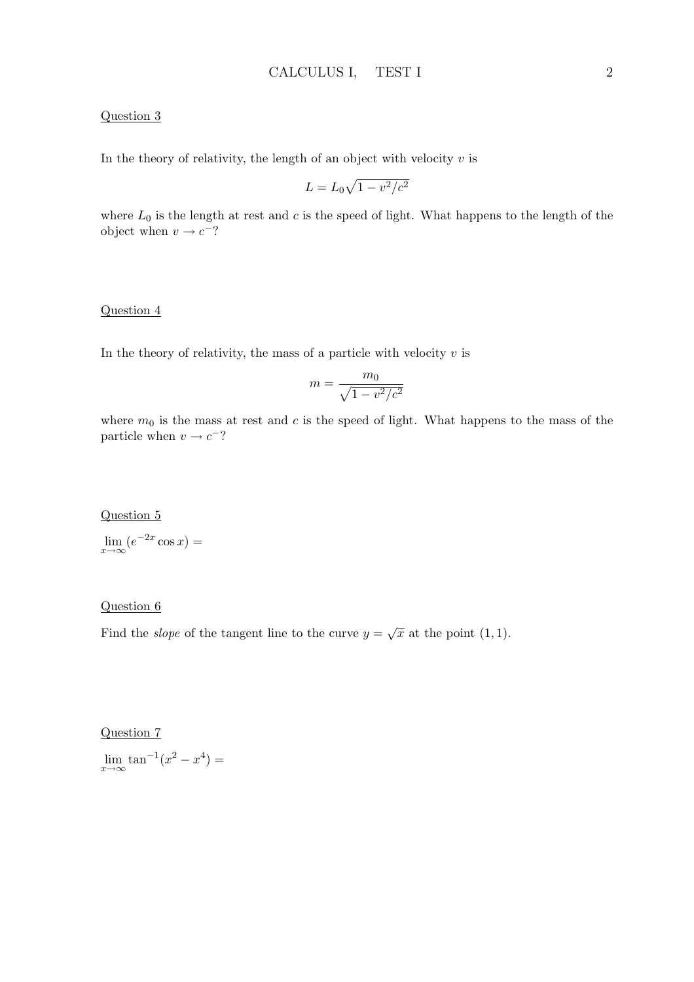### Question 3

In the theory of relativity, the length of an object with velocity  $v$  is

$$
L = L_0 \sqrt{1 - v^2/c^2}
$$

where  $L_0$  is the length at rest and c is the speed of light. What happens to the length of the object when  $v \to c^{-}$ ?

#### Question 4

In the theory of relativity, the mass of a particle with velocity  $v$  is

$$
m = \frac{m_0}{\sqrt{1 - v^2/c^2}}
$$

where  $m_0$  is the mass at rest and c is the speed of light. What happens to the mass of the particle when  $v \to c^{-}$ ?

Question 5

 $\lim_{x \to \infty} (e^{-2x} \cos x) =$ 

#### Question 6

Find the *slope* of the tangent line to the curve  $y = \sqrt{x}$  at the point (1, 1).

#### Question 7

 $\lim_{x \to \infty} \tan^{-1}(x^2 - x^4) =$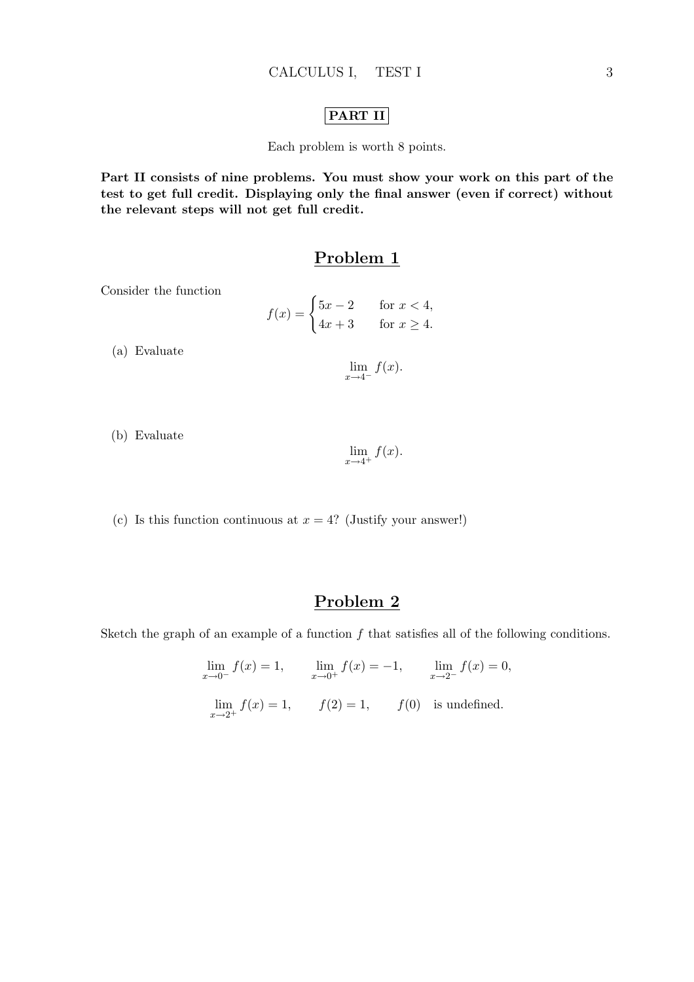### PART II

Each problem is worth 8 points.

Part II consists of nine problems. You must show your work on this part of the test to get full credit. Displaying only the final answer (even if correct) without the relevant steps will not get full credit.

### Problem 1

Consider the function

$$
f(x) = \begin{cases} 5x - 2 & \text{for } x < 4, \\ 4x + 3 & \text{for } x \ge 4. \end{cases}
$$

(a) Evaluate

 $\lim_{x\to 4^-} f(x).$ 

(b) Evaluate

$$
\lim_{x \to 4^+} f(x).
$$

(c) Is this function continuous at  $x = 4$ ? (Justify your answer!)

## Problem 2

Sketch the graph of an example of a function  $f$  that satisfies all of the following conditions.

$$
\lim_{x \to 0^{-}} f(x) = 1, \qquad \lim_{x \to 0^{+}} f(x) = -1, \qquad \lim_{x \to 2^{-}} f(x) = 0,
$$
  

$$
\lim_{x \to 2^{+}} f(x) = 1, \qquad f(2) = 1, \qquad f(0) \text{ is undefined.}
$$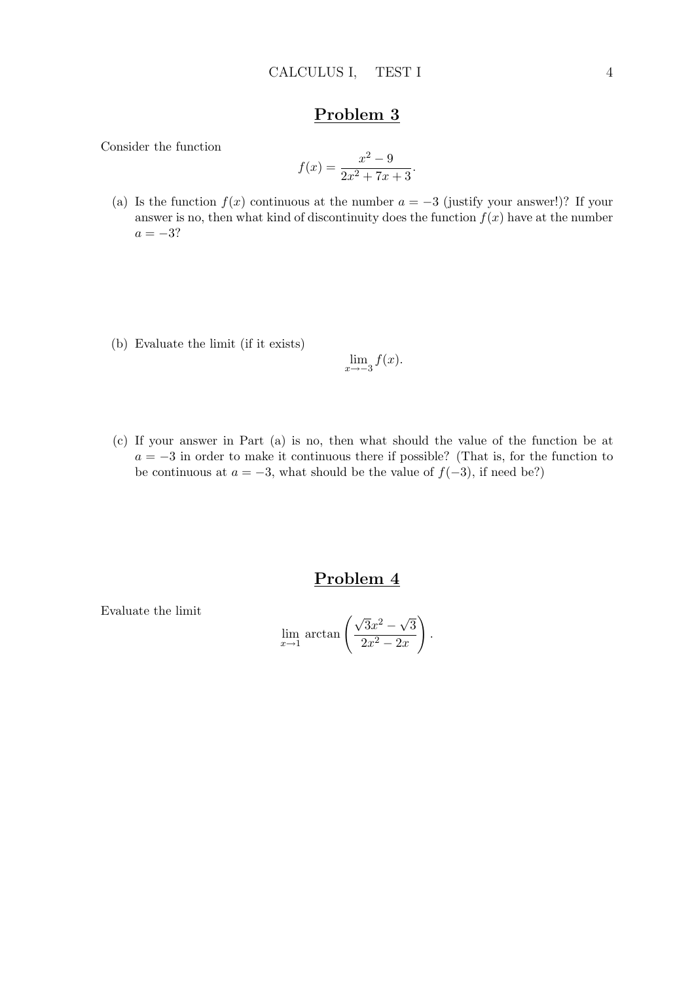Consider the function

$$
f(x) = \frac{x^2 - 9}{2x^2 + 7x + 3}
$$

.

- (a) Is the function  $f(x)$  continuous at the number  $a = -3$  (justify your answer!)? If your answer is no, then what kind of discontinuity does the function  $f(x)$  have at the number  $a = -3?$
- (b) Evaluate the limit (if it exists)

$$
\lim_{x \to -3} f(x).
$$

(c) If your answer in Part (a) is no, then what should the value of the function be at  $a = -3$  in order to make it continuous there if possible? (That is, for the function to be continuous at  $a = -3$ , what should be the value of  $f(-3)$ , if need be?)

## Problem 4

Evaluate the limit

$$
\lim_{x \to 1} \arctan\left(\frac{\sqrt{3}x^2 - \sqrt{3}}{2x^2 - 2x}\right).
$$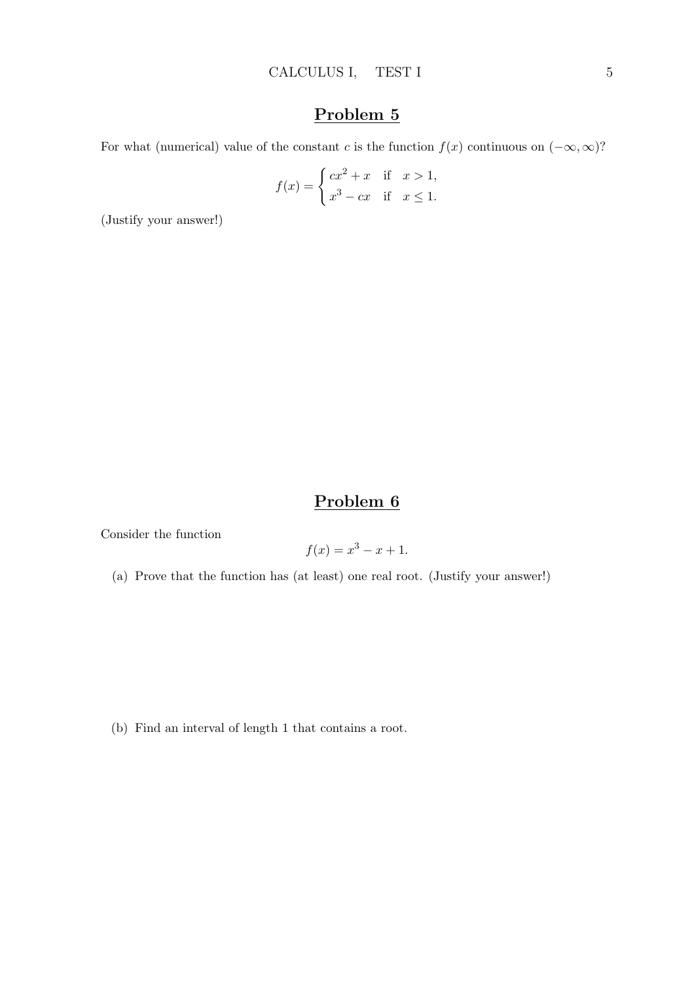For what (numerical) value of the constant c is the function  $f(x)$  continuous on  $(-\infty, \infty)$ ?

$$
f(x) = \begin{cases} cx^2 + x & \text{if } x > 1, \\ x^3 - cx & \text{if } x \le 1. \end{cases}
$$

(Justify your answer!)

# Problem 6

Consider the function

$$
f(x) = x^3 - x + 1.
$$

(a) Prove that the function has (at least) one real root. (Justify your answer!)

(b) Find an interval of length 1 that contains a root.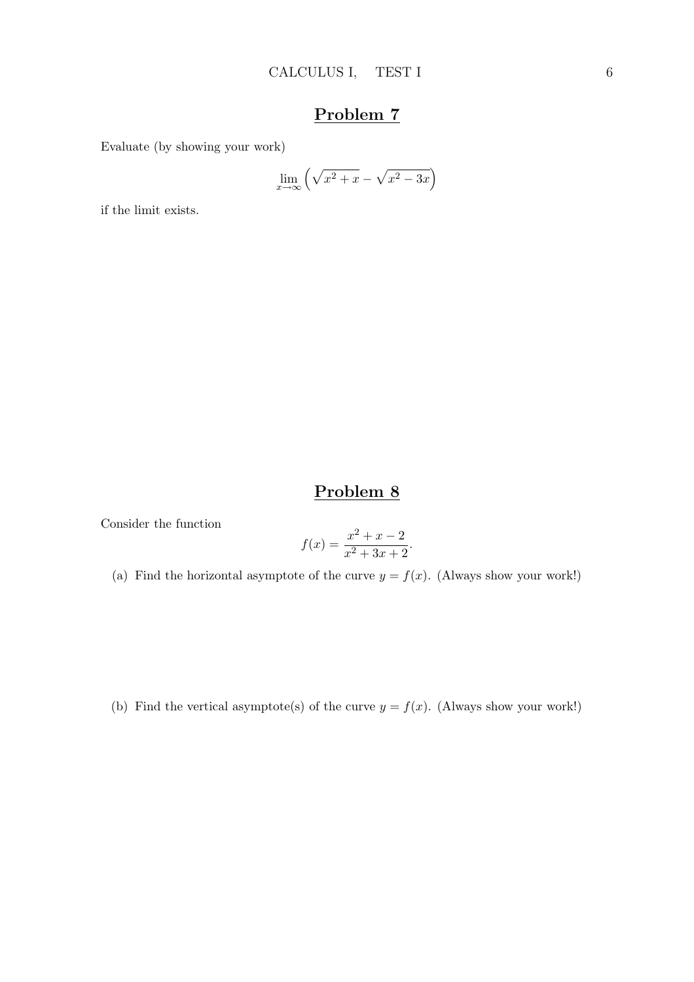Evaluate (by showing your work)

$$
\lim_{x \to \infty} \left( \sqrt{x^2 + x} - \sqrt{x^2 - 3x} \right)
$$

if the limit exists.

# Problem 8

Consider the function

$$
f(x) = \frac{x^2 + x - 2}{x^2 + 3x + 2}.
$$

(a) Find the horizontal asymptote of the curve  $y = f(x)$ . (Always show your work!)

(b) Find the vertical asymptote(s) of the curve  $y = f(x)$ . (Always show your work!)